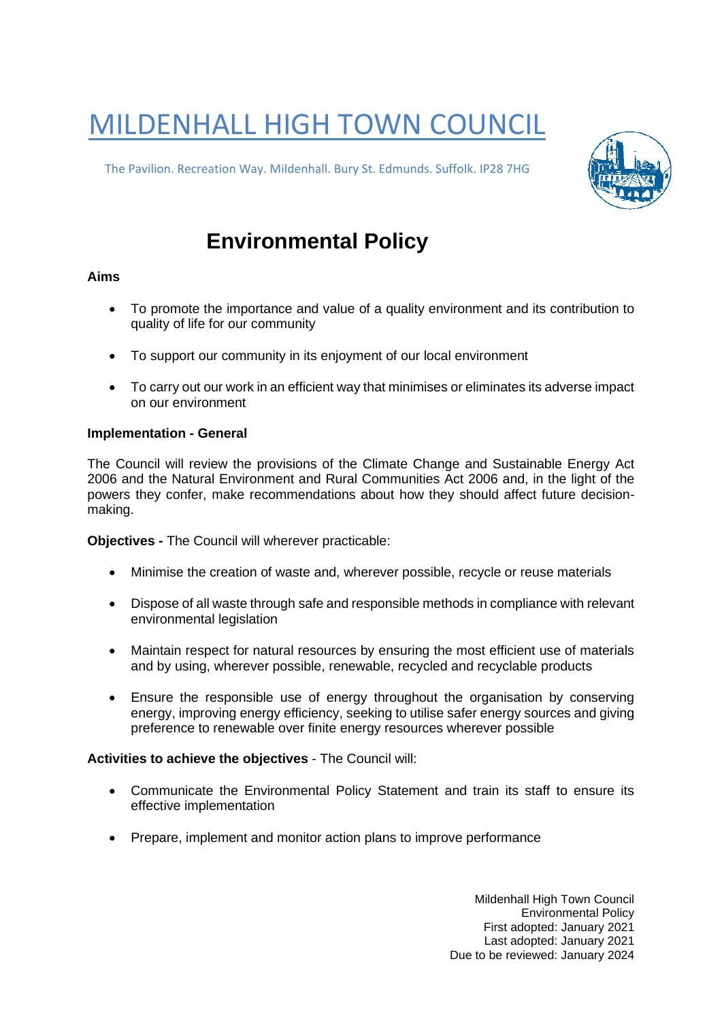# MILDENHALL HIGH TOWN COUNCIL

The Pavilion. Recreation Way. Mildenhall. Bury St. Edmunds. Suffolk. IP28 7HG



# **Environmental Policy**

## **Aims**

- To promote the importance and value of a quality environment and its contribution to quality of life for our community
- To support our community in its enjoyment of our local environment
- To carry out our work in an efficient way that minimises or eliminates its adverse impact on our environment

### **Implementation - General**

The Council will review the provisions of the Climate Change and Sustainable Energy Act 2006 and the Natural Environment and Rural Communities Act 2006 and, in the light of the powers they confer, make recommendations about how they should affect future decisionmaking.

**Objectives -** The Council will wherever practicable:

- Minimise the creation of waste and, wherever possible, recycle or reuse materials
- Dispose of all waste through safe and responsible methods in compliance with relevant environmental legislation
- Maintain respect for natural resources by ensuring the most efficient use of materials and by using, wherever possible, renewable, recycled and recyclable products
- Ensure the responsible use of energy throughout the organisation by conserving energy, improving energy efficiency, seeking to utilise safer energy sources and giving preference to renewable over finite energy resources wherever possible

### **Activities to achieve the objectives** - The Council will:

- Communicate the Environmental Policy Statement and train its staff to ensure its effective implementation
- Prepare, implement and monitor action plans to improve performance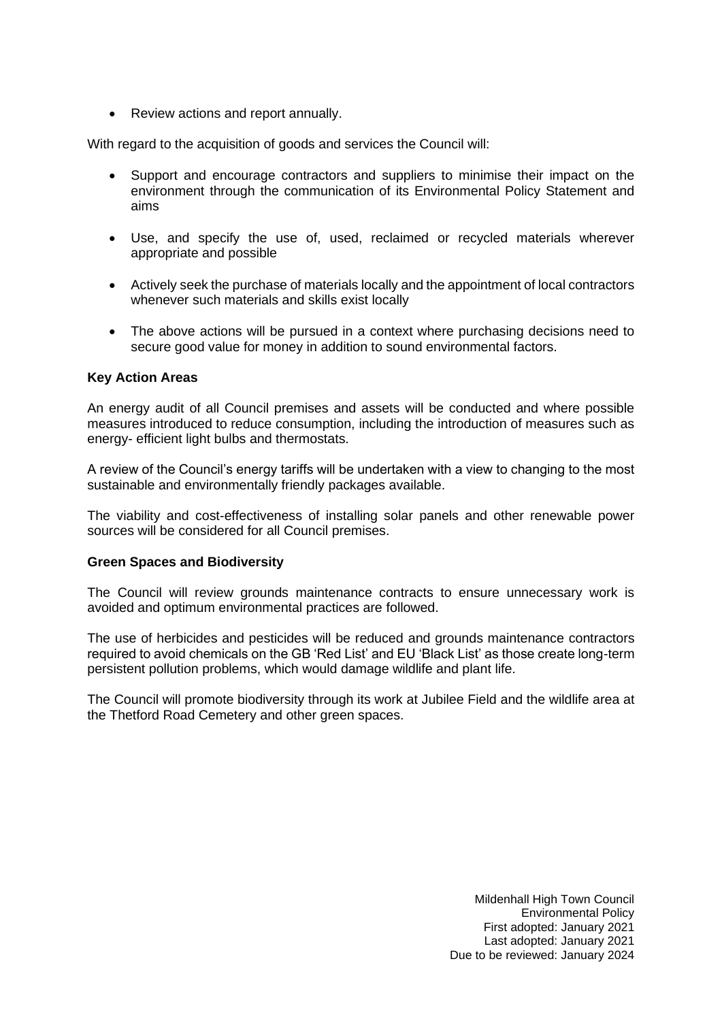• Review actions and report annually.

With regard to the acquisition of goods and services the Council will:

- Support and encourage contractors and suppliers to minimise their impact on the environment through the communication of its Environmental Policy Statement and aims
- Use, and specify the use of, used, reclaimed or recycled materials wherever appropriate and possible
- Actively seek the purchase of materials locally and the appointment of local contractors whenever such materials and skills exist locally
- The above actions will be pursued in a context where purchasing decisions need to secure good value for money in addition to sound environmental factors.

#### **Key Action Areas**

An energy audit of all Council premises and assets will be conducted and where possible measures introduced to reduce consumption, including the introduction of measures such as energy- efficient light bulbs and thermostats.

A review of the Council's energy tariffs will be undertaken with a view to changing to the most sustainable and environmentally friendly packages available.

The viability and cost-effectiveness of installing solar panels and other renewable power sources will be considered for all Council premises.

#### **Green Spaces and Biodiversity**

The Council will review grounds maintenance contracts to ensure unnecessary work is avoided and optimum environmental practices are followed.

The use of herbicides and pesticides will be reduced and grounds maintenance contractors required to avoid chemicals on the GB 'Red List' and EU 'Black List' as those create long-term persistent pollution problems, which would damage wildlife and plant life.

The Council will promote biodiversity through its work at Jubilee Field and the wildlife area at the Thetford Road Cemetery and other green spaces.